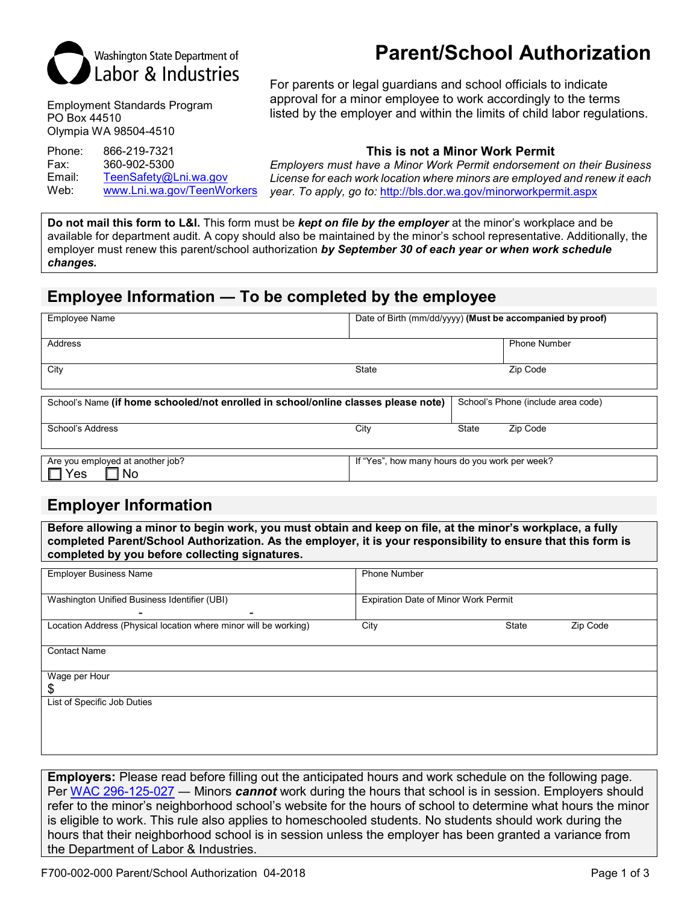

Employment Standards Program PO Box 44510 Olympia WA 98504-4510

Phone: 866-219-7321 **This is not a Minor Work Permit** 360-902-5300 Email: [TeenSafety@Lni.wa.gov](mailto:TeenSafety@Lni.wa.gov)<br>Web: www.Lni.wa.gov/TeenWo Web: [www.Lni.wa.gov/TeenWorkers](http://www.lni.wa.gov/TeenWorkers)

# **Parent/School Authorization**

For parents or legal guardians and school officials to indicate approval for a minor employee to work accordingly to the terms listed by the employer and within the limits of child labor regulations.

*Employers must have a Minor Work Permit endorsement on their Business License for each work location where minors are employed and renew it each year. To apply, go to:* <http://bls.dor.wa.gov/minorworkpermit.aspx>

**Do not mail this form to L&I.** This form must be *kept on file by the employer* at the minor's workplace and be available for department audit. A copy should also be maintained by the minor's school representative. Additionally, the employer must renew this parent/school authorization *by September 30 of each year or when work schedule changes.*

## **Employee Information ― To be completed by the employee**

| <b>Employee Name</b>                                                               | Date of Birth (mm/dd/yyyy) (Must be accompanied by proof) |              |                                    |
|------------------------------------------------------------------------------------|-----------------------------------------------------------|--------------|------------------------------------|
|                                                                                    |                                                           |              |                                    |
| Address                                                                            |                                                           |              | <b>Phone Number</b>                |
|                                                                                    |                                                           |              |                                    |
| City                                                                               | State                                                     |              | Zip Code                           |
|                                                                                    |                                                           |              |                                    |
|                                                                                    |                                                           |              |                                    |
| School's Name (if home schooled/not enrolled in school/online classes please note) |                                                           |              | School's Phone (include area code) |
|                                                                                    |                                                           |              |                                    |
| School's Address                                                                   | City                                                      | <b>State</b> | Zip Code                           |

| Are you employed at another job? | If "Yes".<br>how many hours do you work per week? |
|----------------------------------|---------------------------------------------------|
| <b>NC</b><br>es'                 |                                                   |
|                                  |                                                   |

## **Employer Information**

**Before allowing a minor to begin work, you must obtain and keep on file, at the minor's workplace, a fully completed Parent/School Authorization. As the employer, it is your responsibility to ensure that this form is completed by you before collecting signatures.**

| <b>Employer Business Name</b>                                    | <b>Phone Number</b>                  |       |          |  |
|------------------------------------------------------------------|--------------------------------------|-------|----------|--|
| Washington Unified Business Identifier (UBI)<br>۰                | Expiration Date of Minor Work Permit |       |          |  |
| Location Address (Physical location where minor will be working) | City                                 | State | Zip Code |  |
| <b>Contact Name</b>                                              |                                      |       |          |  |
| Wage per Hour<br>S                                               |                                      |       |          |  |
| List of Specific Job Duties                                      |                                      |       |          |  |
|                                                                  |                                      |       |          |  |

**Employers:** Please read before filling out the anticipated hours and work schedule on the following page. Per [WAC 296-125-027](http://app.leg.wa.gov/wac/default.aspx?cite=296-125-027) ― Minors *cannot* work during the hours that school is in session. Employers should refer to the minor's neighborhood school's website for the hours of school to determine what hours the minor is eligible to work. This rule also applies to homeschooled students. No students should work during the hours that their neighborhood school is in session unless the employer has been granted a variance from the Department of Labor & Industries.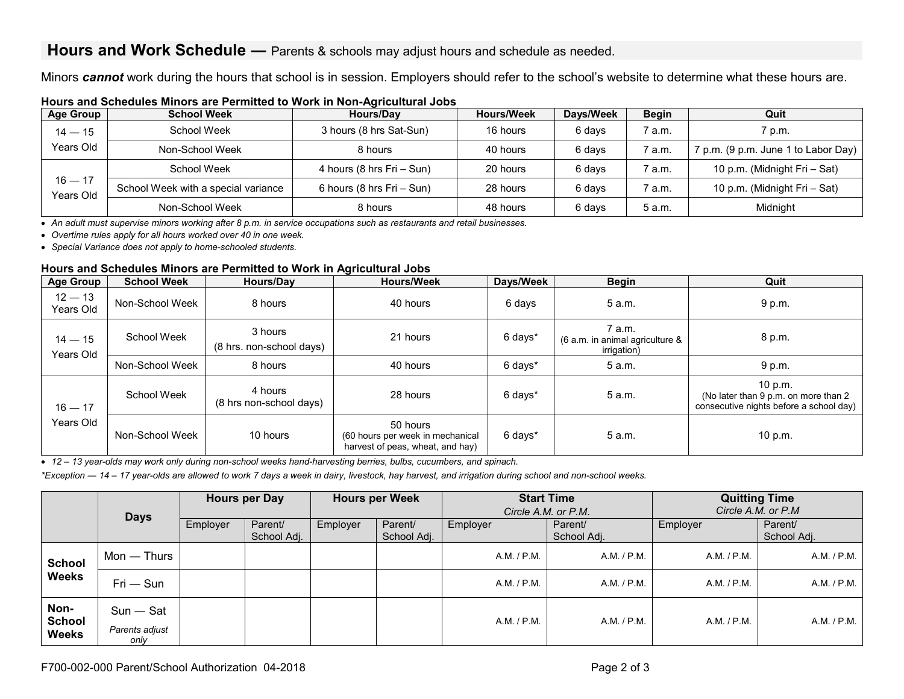## **Hours and Work Schedule** — Parents & schools may adjust hours and schedule as needed.

Minors *cannot* work during the hours that school is in session. Employers should refer to the school's website to determine what these hours are.

| <b>Age Group</b>             | <b>School Week</b>                     | <b>Hours/Dav</b>             | <b>Hours/Week</b> | Days/Week | <b>Begin</b> | Quit                                |
|------------------------------|----------------------------------------|------------------------------|-------------------|-----------|--------------|-------------------------------------|
| $14 - 15$                    | School Week<br>3 hours (8 hrs Sat-Sun) |                              | 16 hours          | 6 davs    | 7 a.m.       | 7 p.m.                              |
| Years Old<br>Non-School Week |                                        | 8 hours                      | 40 hours          | 6 days    | 7 a.m.       | 7 p.m. (9 p.m. June 1 to Labor Day) |
|                              | School Week                            | 4 hours (8 hrs Fri - Sun)    | 20 hours          | 6 days    | 7 a.m.       | 10 p.m. (Midnight Fri - Sat)        |
| $16 - 17$<br>Years Old       | School Week with a special variance    | 6 hours (8 hrs $Fit - Sun$ ) | 28 hours          | 6 days    | 7 a.m.       | 10 p.m. (Midnight Fri - Sat)        |
|                              | Non-School Week                        | 8 hours                      | 48 hours          | 6 days    | 5 a.m.       | Midnight                            |

### **Hours and Schedules Minors are Permitted to Work in Non-Agricultural Jobs**

• *An adult must supervise minors working after 8 p.m. in service occupations such as restaurants and retail businesses.* 

• *Overtime rules apply for all hours worked over 40 in one week.* 

• *Special Variance does not apply to home-schooled students.*

#### **Hours and Schedules Minors are Permitted to Work in Agricultural Jobs**

| <b>Age Group</b>       | <b>School Week</b> | Hours/Day                           | <b>Hours/Week</b>                                                                | Days/Week | <b>Begin</b>                                             | Quit                                                                                       |
|------------------------|--------------------|-------------------------------------|----------------------------------------------------------------------------------|-----------|----------------------------------------------------------|--------------------------------------------------------------------------------------------|
| $12 - 13$<br>Years Old | Non-School Week    | 8 hours                             | 40 hours                                                                         | 6 days    | 5 a.m.                                                   | 9 p.m.                                                                                     |
| $14 - 15$<br>Years Old | School Week        | 3 hours<br>(8 hrs. non-school days) | 21 hours                                                                         | 6 days*   | 7 a.m.<br>(6 a.m. in animal agriculture &<br>irrigation) | 8 p.m.                                                                                     |
| Non-School Week        |                    | 8 hours                             | 40 hours                                                                         | 6 days*   | 5 a.m.                                                   | 9 p.m.                                                                                     |
| $16 - 17$              | School Week        | 4 hours<br>(8 hrs non-school days)  | 28 hours                                                                         | 6 days*   | 5 a.m.                                                   | 10 p.m.<br>(No later than 9 p.m. on more than 2<br>consecutive nights before a school day) |
| Years Old              | Non-School Week    | 10 hours                            | 50 hours<br>(60 hours per week in mechanical<br>harvest of peas, wheat, and hay) | 6 days*   | 5 a.m.                                                   | 10 p.m.                                                                                    |

• *12 – 13 year-olds may work only during non-school weeks hand-harvesting berries, bulbs, cucumbers, and spinach.*

*\*Exception ― 14 – 17 year-olds are allowed to work 7 days a week in dairy, livestock, hay harvest, and irrigation during school and non-school weeks.*

|                                       | <b>Days</b>                           |          | <b>Hours per Day</b>   |          | <b>Hours per Week</b>  | <b>Start Time</b><br>Circle A.M. or P.M. |                        | <b>Quitting Time</b><br>Circle A.M. or P.M |                        |
|---------------------------------------|---------------------------------------|----------|------------------------|----------|------------------------|------------------------------------------|------------------------|--------------------------------------------|------------------------|
|                                       |                                       | Employer | Parent/<br>School Adj. | Employer | Parent/<br>School Adj. | Employer                                 | Parent/<br>School Adj. | Employer                                   | Parent/<br>School Adj. |
| <b>School</b>                         | $Mon - Thus$                          |          |                        |          |                        | A.M. / P.M.                              | A.M. / P.M.            | A.M. / P.M.                                | A.M. / P.M.            |
| <b>Weeks</b>                          | $Fri$ $-$ Sun                         |          |                        |          |                        | A.M. / P.M.                              | A.M. / P.M.            | A.M. / P.M.                                | A.M. / P.M.            |
| Non-<br><b>School</b><br><b>Weeks</b> | $Sun - Sat$<br>Parents adjust<br>only |          |                        |          |                        | A.M. / P.M.                              | A.M. / P.M.            | A.M. / P.M.                                | A.M. / P.M.            |